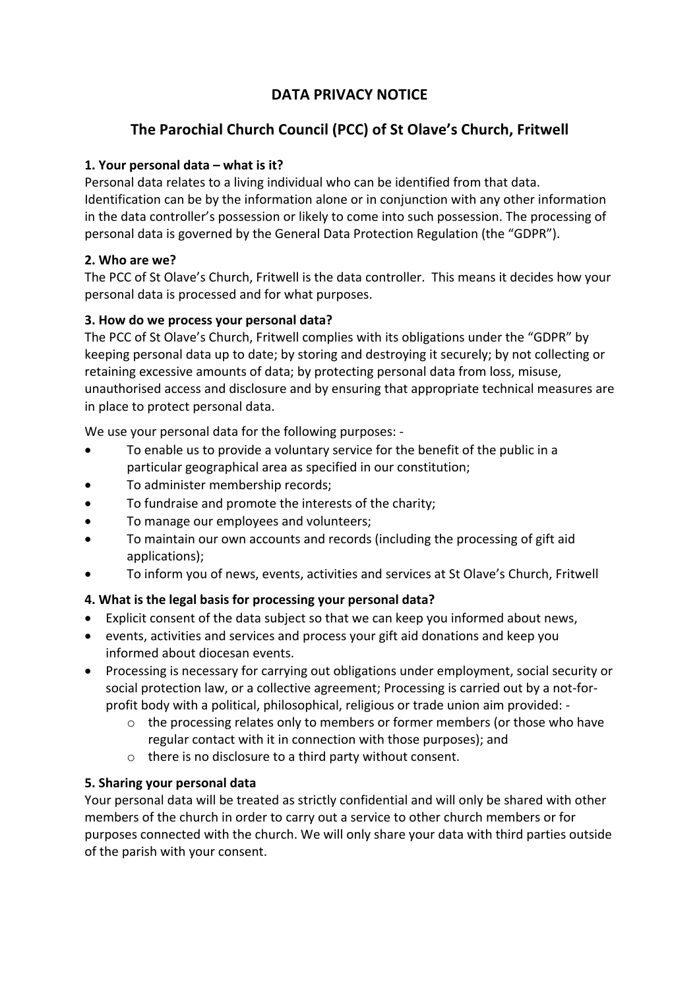# **DATA PRIVACY NOTICE**

# **The Parochial Church Council (PCC) of St Olave's Church, Fritwell**

### **1. Your personal data – what is it?**

Personal data relates to a living individual who can be identified from that data. Identification can be by the information alone or in conjunction with any other information in the data controller's possession or likely to come into such possession. The processing of personal data is governed by the General Data Protection Regulation (the "GDPR").

### **2. Who are we?**

The PCC of St Olave's Church, Fritwell is the data controller. This means it decides how your personal data is processed and for what purposes.

### **3. How do we process your personal data?**

The PCC of St Olave's Church, Fritwell complies with its obligations under the "GDPR" by keeping personal data up to date; by storing and destroying it securely; by not collecting or retaining excessive amounts of data; by protecting personal data from loss, misuse, unauthorised access and disclosure and by ensuring that appropriate technical measures are in place to protect personal data.

We use your personal data for the following purposes: -

- To enable us to provide a voluntary service for the benefit of the public in a particular geographical area as specified in our constitution;
- To administer membership records;
- To fundraise and promote the interests of the charity;
- To manage our employees and volunteers;
- To maintain our own accounts and records (including the processing of gift aid applications);
- To inform you of news, events, activities and services at St Olave's Church, Fritwell

## **4. What is the legal basis for processing your personal data?**

- Explicit consent of the data subject so that we can keep you informed about news,
- events, activities and services and process your gift aid donations and keep you informed about diocesan events.
- Processing is necessary for carrying out obligations under employment, social security or social protection law, or a collective agreement; Processing is carried out by a not-forprofit body with a political, philosophical, religious or trade union aim provided:
	- o the processing relates only to members or former members (or those who have regular contact with it in connection with those purposes); and
	- o there is no disclosure to a third party without consent.

### **5. Sharing your personal data**

Your personal data will be treated as strictly confidential and will only be shared with other members of the church in order to carry out a service to other church members or for purposes connected with the church. We will only share your data with third parties outside of the parish with your consent.